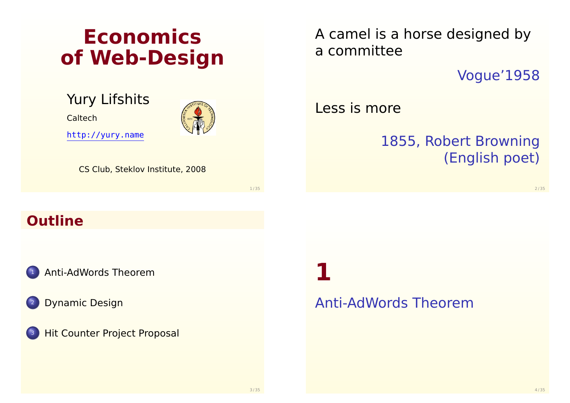# **Economics of Web-Design**

Yury Lifshits

**Caltech** 

http://yury.name



CS Club, Steklov Institute, 2008

1 / 35

# **Outline**

<sup>1</sup> [Anti-AdWords Theor](#page-0-0)em

**[Dynamic Des](#page-4-0)ign** 

**[Hit Counter Project Propo](#page-7-0)sal** 

**1**

### <span id="page-0-0"></span>Anti-AdWords Theorem



Vogue'1958

Less is more

# 1855, Robert Browning (English poet)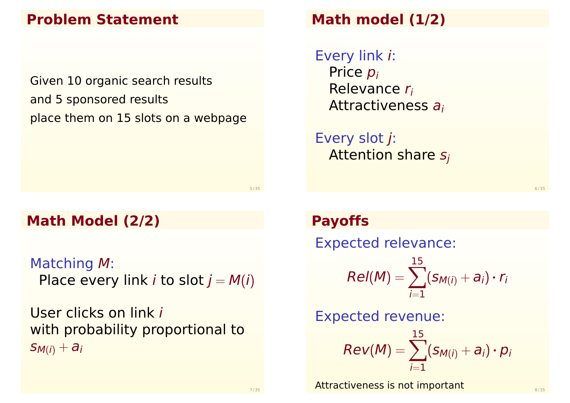# **Problem Statement**

Given 10 organic search results and 5 sponsored results place them on 15 slots on a webpage

**Math Model (2/2)**

Matching M: Place every link *i* to slot  $j = M(i)$ 

User clicks on link i with probability proportional to  $S_{M(i)} + a_i$ 

# **Math model (1/2)**

Every link i: Price  $p_i$ Relevance r<sup>i</sup> Attractiveness a<sup>i</sup>

Every slot j: Attention share  $s_i$ 

### **Payoffs**

Expected relevance:  $Rel(M) = \sum$ 15  $i=1$  $(S_{M(i)} + a_i) \cdot r_i$ Expected revenue:  $Rev(M) = \sum$ 15  $i=1$  $(s_{M(i)} + a_i) \cdot p_i$ 

Attractiveness is not important  $\mathbf{S}$  and  $\mathbf{S}$   $\mathbf{S}$   $\mathbf{S}$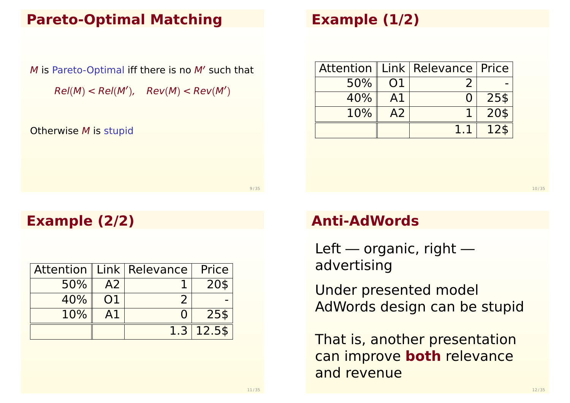### **Pareto-Optimal Matching**

M is Pareto-Optimal iff there is no M' such that  $Rel(M) < Rel(M')$ ,  $Rev(M) < Rev(M')$ 

Otherwise M is stupid

# **Example (1/2)**

|     |    | Attention   Link   Relevance   Price |      |
|-----|----|--------------------------------------|------|
| 50% | 01 |                                      |      |
| 40% |    |                                      | 25\$ |
| 10% | A2 |                                      | 20\$ |
|     |    |                                      |      |

10 / 35

# **Example (2/2)**

|     |    | Attention   Link   Relevance   Price |                |
|-----|----|--------------------------------------|----------------|
| 50% | A2 |                                      | 20\$           |
| 40% | 01 |                                      |                |
| 10% | A1 |                                      | 25\$           |
|     |    |                                      | $1.3$   12.5\$ |

### **Anti-AdWords**

Left — organic, right advertising

Under presented model AdWords design can be stupid

That is, another presentation can improve **both** relevance and revenue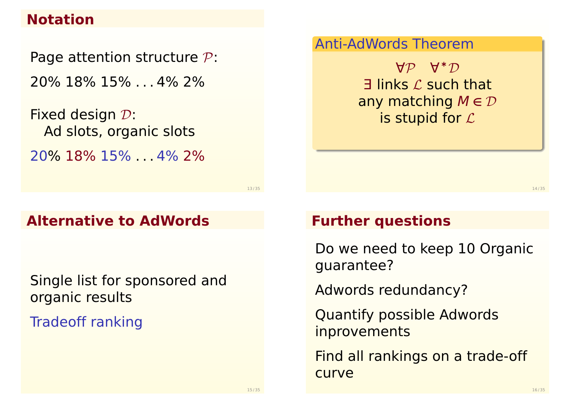### **Notation**

Page attention structure  $P$ : 20% 18% 15% . . . 4% 2%

Fixed design D: Ad slots, organic slots 20% 18% 15% . . . 4% 2%

13 / 35

### **Alternative to AdWords**

Single list for sponsored and organic results

Tradeoff ranking

#### Anti-AdWords Theorem

∀P ∀ <sup>∗</sup>D  $\exists$  links  $\mathcal L$  such that any matching M **∈** D is stupid for  $\mathcal L$ 

14 / 35

#### **Further questions**

Do we need to keep 10 Organic guarantee?

Adwords redundancy?

Quantify possible Adwords **inprovements** 

Find all rankings on a trade-off curve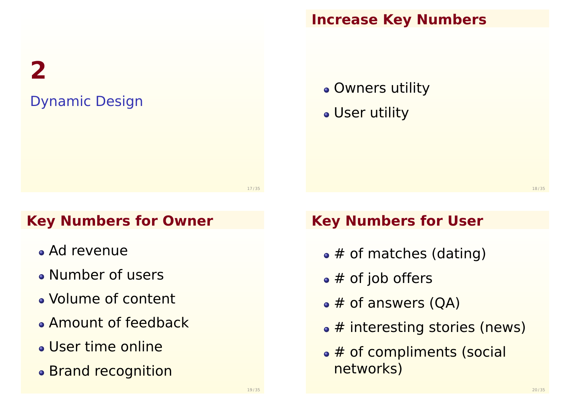**2** Dynamic Design

# **Increase Key Numbers**

Owners utility

User utility

18 / 35

# **Key Numbers for Owner**

- Ad revenue
- Number of users
- Volume of content
- **Amount of feedback**
- User time online
- Brand recognition

# **Key Numbers for User**

- $\bullet$  # of matches (dating)
- $\bullet$  # of job offers
- $\bullet$  # of answers (QA)
- # interesting stories (news)
- <span id="page-4-0"></span>• # of compliments (social networks)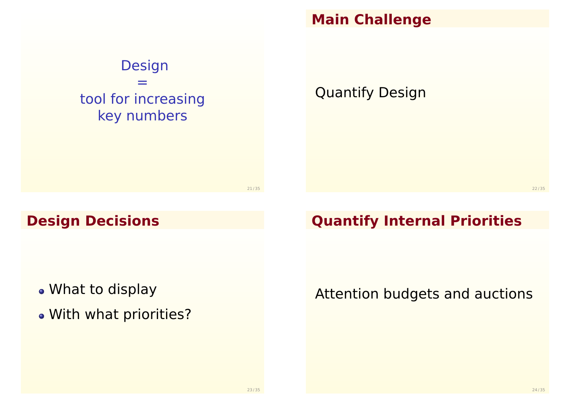

#### **Main Challenge**

Quantify Design

21 / 35

# **Design Decisions**

- What to display
- With what priorities?

# **Quantify Internal Priorities**

# Attention budgets and auctions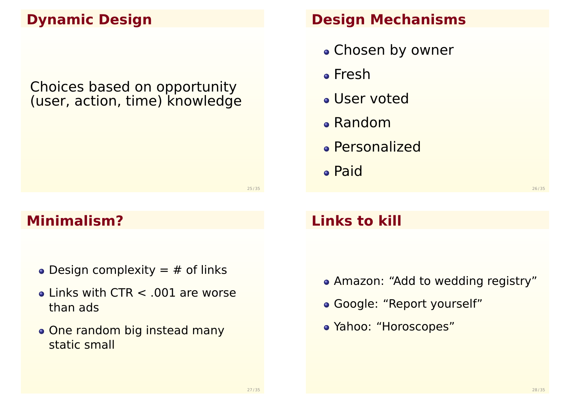# **Dynamic Design**

Choices based on opportunity (user, action, time) knowledge

### **Minimalism?**

- Design complexity  $=$  # of links
- $\bullet$  Links with CTR  $\lt$  .001 are worse than ads
- One random big instead many static small

### **Design Mechanisms**

- Chosen by owner
- Fresh
- User voted
- Random
- Personalized
- Paid

26 / 35

# **Links to kill**

- Amazon: "Add to wedding registry"
- Google: "Report yourself"
- Yahoo: "Horoscopes"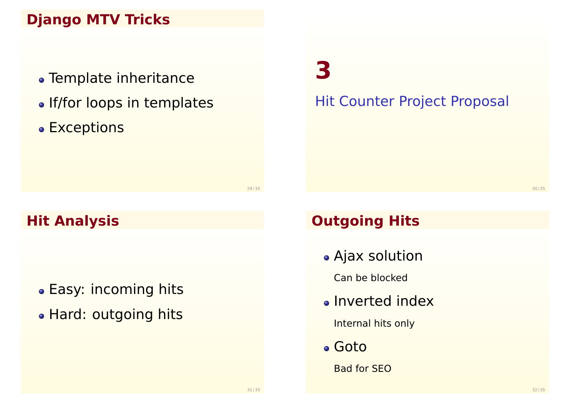# **Django MTV Tricks**

- Template inheritance
- If/for loops in templates
- Exceptions

**3**

Hit Counter Project Proposal

30 / 35

# **Hit Analysis**

- Easy: incoming hits
- Hard: outgoing hits

# **Outgoing Hits**

Ajax solution

Can be blocked

**.** Inverted index

Internal hits only

Goto

<span id="page-7-0"></span>Bad for SEO